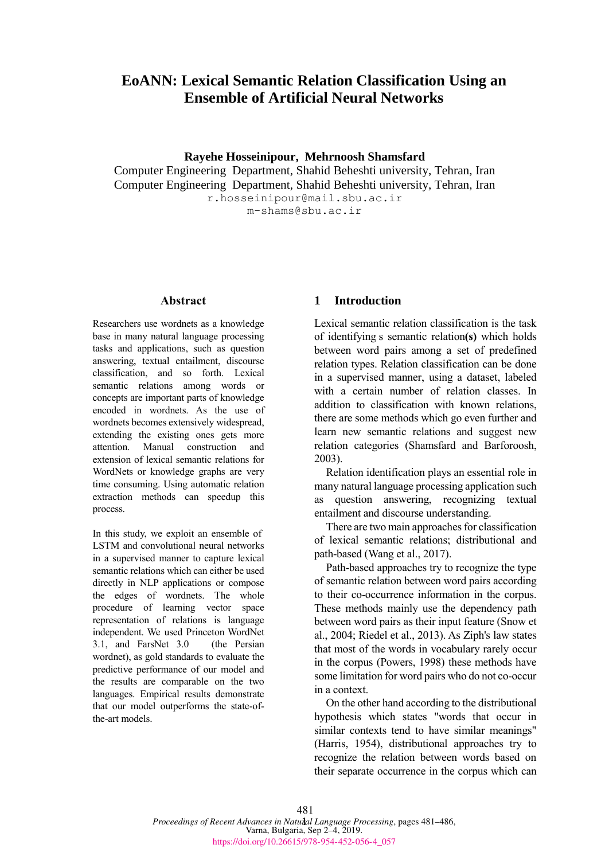# **EoANN: Lexical Semantic Relation Classification Using an Ensemble of Artificial Neural Networks**

**Rayehe Hosseinipour, Mehrnoosh Shamsfard**

Computer Engineering Department, Shahid Beheshti university, Tehran, Iran Computer Engineering Department, Shahid Beheshti university, Tehran, Iran r.hosseinipour@mail.sbu.ac.ir

m-shams@sbu.ac.ir

#### **Abstract**

Researchers use wordnets as a knowledge base in many natural language processing tasks and applications, such as question answering, textual entailment, discourse classification, and so forth. Lexical semantic relations among words or concepts are important parts of knowledge encoded in wordnets. As the use of wordnets becomes extensively widespread, extending the existing ones gets more attention. Manual construction and extension of lexical semantic relations for WordNets or knowledge graphs are very time consuming. Using automatic relation extraction methods can speedup this process.

In this study, we exploit an ensemble of LSTM and convolutional neural networks in a supervised manner to capture lexical semantic relations which can either be used directly in NLP applications or compose the edges of wordnets. The whole procedure of learning vector space representation of relations is language independent. We used Princeton WordNet 3.1, and FarsNet 3.0 (the Persian wordnet), as gold standards to evaluate the predictive performance of our model and the results are comparable on the two languages. Empirical results demonstrate that our model outperforms the state-ofthe-art models.

### **1 Introduction**

Lexical semantic relation classification is the task of identifying s semantic relation**(s)** which holds between word pairs among a set of predefined relation types. Relation classification can be done in a supervised manner, using a dataset, labeled with a certain number of relation classes. In addition to classification with known relations, there are some methods which go even further and learn new semantic relations and suggest new relation categories (Shamsfard and Barforoosh, 2003).

Relation identification plays an essential role in many natural language processing application such as question answering, recognizing textual entailment and discourse understanding.

There are two main approaches for classification of lexical semantic relations; distributional and path-based (Wang et al., 2017).

Path-based approaches try to recognize the type of semantic relation between word pairs according to their co-occurrence information in the corpus. These methods mainly use the dependency path between word pairs as their input feature (Snow et al., 2004; Riedel et al., 2013). As Ziph's law states that most of the words in vocabulary rarely occur in the corpus (Powers, 1998) these methods have some limitation for word pairs who do not co-occur in a context.

On the other hand according to the distributional hypothesis which states "words that occur in similar contexts tend to have similar meanings" (Harris, 1954), distributional approaches try to recognize the relation between words based on their separate occurrence in the corpus which can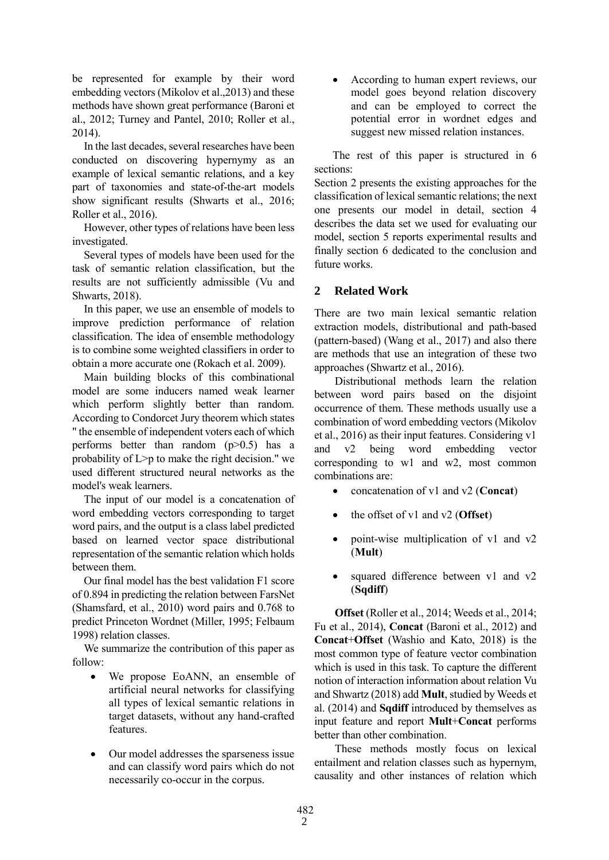be represented for example by their word embedding vectors (Mikolov et al.,2013) and these methods have shown great performance (Baroni et al., 2012; Turney and Pantel, 2010; Roller et al., 2014).

In the last decades, several researches have been conducted on discovering hypernymy as an example of lexical semantic relations, and a key part of taxonomies and state-of-the-art models show significant results (Shwarts et al., 2016; Roller et al., 2016).

However, other types of relations have been less investigated.

Several types of models have been used for the task of semantic relation classification, but the results are not sufficiently admissible (Vu and Shwarts, 2018).

In this paper, we use an ensemble of models to improve prediction performance of relation classification. The idea of ensemble methodology is to combine some weighted classifiers in order to obtain a more accurate one (Rokach et al. 2009).

Main building blocks of this combinational model are some inducers named weak learner which perform slightly better than random. According to Condorcet Jury theorem which states " the ensemble of independent voters each of which performs better than random  $(p>0.5)$  has a probability of L>p to make the right decision." we used different structured neural networks as the model's weak learners.

The input of our model is a concatenation of word embedding vectors corresponding to target word pairs, and the output is a class label predicted based on learned vector space distributional representation of the semantic relation which holds between them.

Our final model has the best validation F1 score of 0.894 in predicting the relation between FarsNet (Shamsfard, et al., 2010) word pairs and 0.768 to predict Princeton Wordnet (Miller, 1995; Felbaum 1998) relation classes.

We summarize the contribution of this paper as follow:

- We propose EoANN, an ensemble of artificial neural networks for classifying all types of lexical semantic relations in target datasets, without any hand-crafted features.
- Our model addresses the sparseness issue and can classify word pairs which do not necessarily co-occur in the corpus.

• According to human expert reviews, our model goes beyond relation discovery and can be employed to correct the potential error in wordnet edges and suggest new missed relation instances.

The rest of this paper is structured in 6 sections:

Section 2 presents the existing approaches for the classification of lexical semantic relations; the next one presents our model in detail, section 4 describes the data set we used for evaluating our model, section 5 reports experimental results and finally section 6 dedicated to the conclusion and future works.

# **2 Related Work**

There are two main lexical semantic relation extraction models, distributional and path-based (pattern-based) (Wang et al., 2017) and also there are methods that use an integration of these two approaches (Shwartz et al., 2016).

Distributional methods learn the relation between word pairs based on the disjoint occurrence of them. These methods usually use a combination of word embedding vectors (Mikolov et al., 2016) as their input features. Considering v1 and v2 being word embedding vector corresponding to w1 and w2, most common combinations are:

- concatenation of v1 and v2 (**Concat**)
- the offset of v1 and v2 (**Offset**)
- point-wise multiplication of v1 and v2 (**Mult**)
- squared difference between v1 and v2 (**Sqdiff**)

**Offset** (Roller et al., 2014; Weeds et al., 2014; Fu et al., 2014), **Concat** (Baroni et al., 2012) and **Concat**+**Offset** (Washio and Kato, 2018) is the most common type of feature vector combination which is used in this task. To capture the different notion of interaction information about relation Vu and Shwartz (2018) add **Mult**, studied by Weeds et al. (2014) and **Sqdiff** introduced by themselves as input feature and report **Mult**+**Concat** performs better than other combination.

These methods mostly focus on lexical entailment and relation classes such as hypernym, causality and other instances of relation which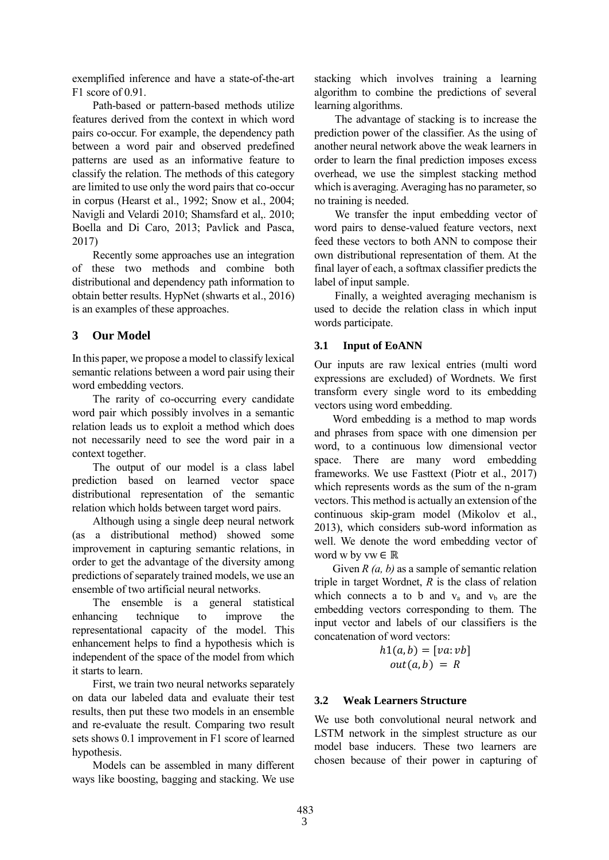exemplified inference and have a state-of-the-art F1 score of 0.91.

Path-based or pattern-based methods utilize features derived from the context in which word pairs co-occur. For example, the dependency path between a word pair and observed predefined patterns are used as an informative feature to classify the relation. The methods of this category are limited to use only the word pairs that co-occur in corpus (Hearst et al., 1992; Snow et al., 2004; Navigli and Velardi 2010; Shamsfard et al,. 2010; Boella and Di Caro, 2013; Pavlick and Pasca, 2017)

Recently some approaches use an integration of these two methods and combine both distributional and dependency path information to obtain better results. HypNet (shwarts et al., 2016) is an examples of these approaches.

## **3 Our Model**

In this paper, we propose a model to classify lexical semantic relations between a word pair using their word embedding vectors.

The rarity of co-occurring every candidate word pair which possibly involves in a semantic relation leads us to exploit a method which does not necessarily need to see the word pair in a context together.

The output of our model is a class label prediction based on learned vector space distributional representation of the semantic relation which holds between target word pairs.

Although using a single deep neural network (as a distributional method) showed some improvement in capturing semantic relations, in order to get the advantage of the diversity among predictions of separately trained models, we use an ensemble of two artificial neural networks.

The ensemble is a general statistical enhancing technique to improve the representational capacity of the model. This enhancement helps to find a hypothesis which is independent of the space of the model from which it starts to learn.

First, we train two neural networks separately on data our labeled data and evaluate their test results, then put these two models in an ensemble and re-evaluate the result. Comparing two result sets shows 0.1 improvement in F1 score of learned hypothesis.

Models can be assembled in many different ways like boosting, bagging and stacking. We use

stacking which involves training a learning algorithm to combine the predictions of several learning algorithms.

The advantage of stacking is to increase the prediction power of the classifier. As the using of another neural network above the weak learners in order to learn the final prediction imposes excess overhead, we use the simplest stacking method which is averaging. Averaging has no parameter, so no training is needed.

We transfer the input embedding vector of word pairs to dense-valued feature vectors, next feed these vectors to both ANN to compose their own distributional representation of them. At the final layer of each, a softmax classifier predicts the label of input sample.

Finally, a weighted averaging mechanism is used to decide the relation class in which input words participate.

### **3.1 Input of EoANN**

Our inputs are raw lexical entries (multi word expressions are excluded) of Wordnets. We first transform every single word to its embedding vectors using word embedding.

Word embedding is a method to map words and phrases from space with one dimension per word, to a continuous low dimensional vector space. There are many word embedding frameworks. We use Fasttext (Piotr et al., 2017) which represents words as the sum of the n-gram vectors. This method is actually an extension of the continuous skip-gram model (Mikolov et al., 2013), which considers sub-word information as well. We denote the word embedding vector of word w by vw  $\in \mathbb{R}$ 

Given *R (a, b)* as a sample of semantic relation triple in target Wordnet, *R* is the class of relation which connects a to b and  $v_a$  and  $v_b$  are the embedding vectors corresponding to them. The input vector and labels of our classifiers is the concatenation of word vectors:

$$
h1(a,b) = [va: vb]
$$
  

$$
out(a,b) = R
$$

## **3.2 Weak Learners Structure**

We use both convolutional neural network and LSTM network in the simplest structure as our model base inducers. These two learners are chosen because of their power in capturing of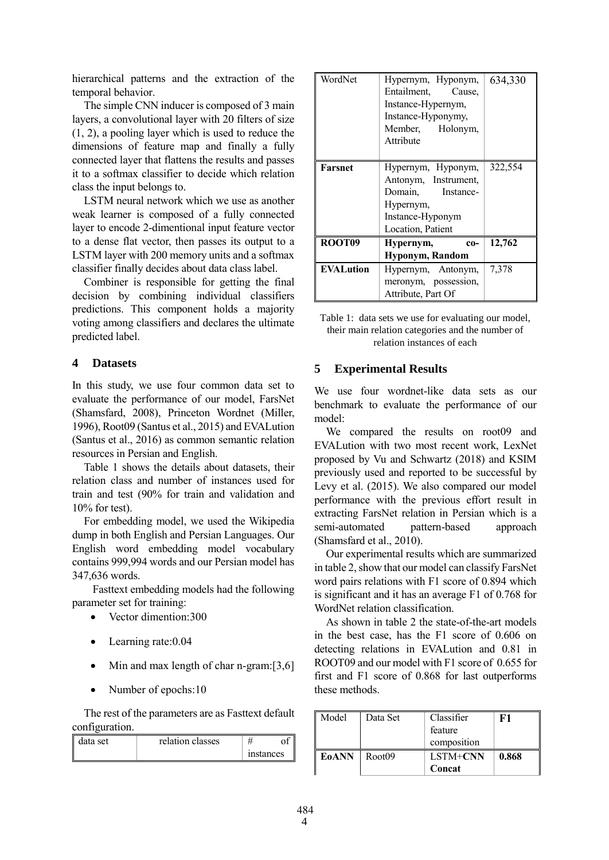hierarchical patterns and the extraction of the temporal behavior.

The simple CNN inducer is composed of 3 main layers, a convolutional layer with 20 filters of size (1, 2), a pooling layer which is used to reduce the dimensions of feature map and finally a fully connected layer that flattens the results and passes it to a softmax classifier to decide which relation class the input belongs to.

LSTM neural network which we use as another weak learner is composed of a fully connected layer to encode 2-dimentional input feature vector to a dense flat vector, then passes its output to a LSTM layer with 200 memory units and a softmax classifier finally decides about data class label.

Combiner is responsible for getting the final decision by combining individual classifiers predictions. This component holds a majority voting among classifiers and declares the ultimate predicted label.

### **4 Datasets**

In this study, we use four common data set to evaluate the performance of our model, FarsNet (Shamsfard, 2008), Princeton Wordnet (Miller, 1996), Root09 (Santus et al., 2015) and EVALution (Santus et al., 2016) as common semantic relation resources in Persian and English.

Table 1 shows the details about datasets, their relation class and number of instances used for train and test (90% for train and validation and 10% for test).

For embedding model, we used the Wikipedia dump in both English and Persian Languages. Our English word embedding model vocabulary contains 999,994 words and our Persian model has 347,636 words.

Fasttext embedding models had the following parameter set for training:

- Vector dimention:300
- Learning rate: 0.04
- $\bullet$  Min and max length of char n-gram: [3,6]
- Number of epochs:10

The rest of the parameters are as Fasttext default configuration.

| data set. | relation classes |  |                    |  |
|-----------|------------------|--|--------------------|--|
|           |                  |  | <i>s</i> instances |  |

| WordNet          | Hypernym, Hyponym,<br>Entailment,<br>Cause.<br>Instance-Hypernym,<br>Instance-Hyponymy,<br>Member, Holonym,<br>Attribute | 634,330 |
|------------------|--------------------------------------------------------------------------------------------------------------------------|---------|
|                  |                                                                                                                          |         |
| Farsnet          | Hypernym, Hyponym,                                                                                                       | 322,554 |
|                  | Antonym, Instrument,                                                                                                     |         |
|                  | Instance-<br>Domain,                                                                                                     |         |
|                  | Hypernym,                                                                                                                |         |
|                  | Instance-Hyponym                                                                                                         |         |
|                  | Location, Patient                                                                                                        |         |
| ROOT09           | Hypernym,<br>$co-$                                                                                                       | 12,762  |
|                  | Hyponym, Random                                                                                                          |         |
| <b>EVALution</b> | Hypernym, Antonym,                                                                                                       | 7.378   |
|                  | meronym, possession,                                                                                                     |         |
|                  | Attribute, Part Of                                                                                                       |         |

Table 1: data sets we use for evaluating our model, their main relation categories and the number of relation instances of each

#### **5 Experimental Results**

We use four wordnet-like data sets as our benchmark to evaluate the performance of our model:

We compared the results on root09 and EVALution with two most recent work, LexNet proposed by Vu and Schwartz (2018) and KSIM previously used and reported to be successful by Levy et al. (2015). We also compared our model performance with the previous effort result in extracting FarsNet relation in Persian which is a semi-automated pattern-based approach (Shamsfard et al., 2010).

Our experimental results which are summarized in table 2, show that our model can classify FarsNet word pairs relations with F1 score of 0.894 which is significant and it has an average F1 of 0.768 for WordNet relation classification.

As shown in table 2 the state-of-the-art models in the best case, has the F1 score of 0.606 on detecting relations in EVALution and 0.81 in ROOT09 and our model with F1 score of 0.655 for first and F1 score of 0.868 for last outperforms these methods.

| Model        | Data Set | Classifier<br>feature<br>composition | F1    |
|--------------|----------|--------------------------------------|-------|
| <b>E0ANN</b> | Root09   | LSTM+CNN<br>Concat                   | 0.868 |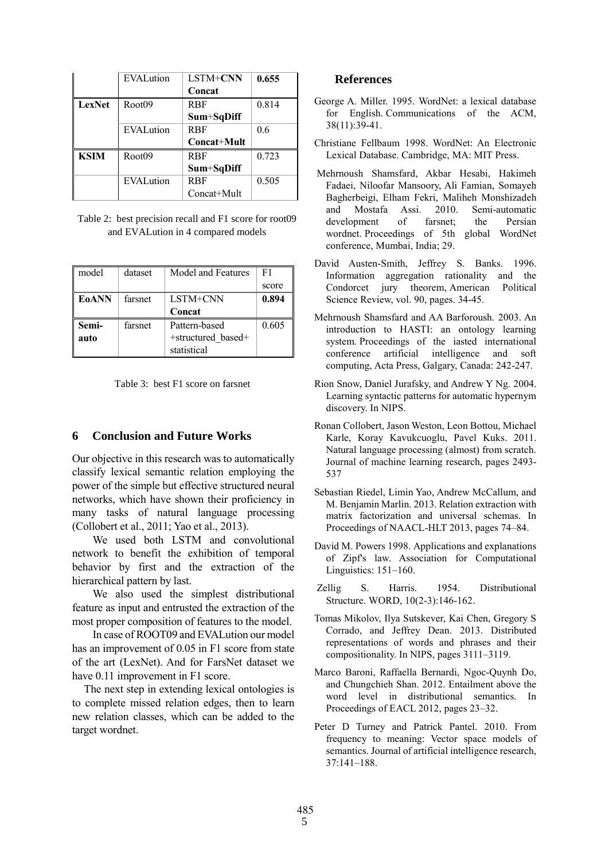|               | <b>EVALution</b> | <b>LSTM+CNN</b> | 0.655 |
|---------------|------------------|-----------------|-------|
|               |                  | Concat          |       |
| <b>LexNet</b> | Root09           | <b>RBF</b>      | 0.814 |
|               |                  | Sum+SqDiff      |       |
|               | <b>EVALution</b> | <b>RBF</b>      | 0.6   |
|               |                  | Concat+Mult     |       |
| <b>KSIM</b>   | Root09           | <b>RBF</b>      | 0.723 |
|               |                  | Sum+SqDiff      |       |
|               | EVALution        | <b>RBF</b>      | 0.505 |
|               |                  |                 |       |

Table 2: best precision recall and F1 score for root09 and EVALution in 4 compared models

| model | dataset | Model and Features | F1    |
|-------|---------|--------------------|-------|
|       |         |                    | score |
| E0ANN | farsnet | LSTM+CNN           | 0.894 |
|       |         | Concat             |       |
| Semi- | farsnet | Pattern-based      | 0.605 |
| auto  |         | +structured based+ |       |
|       |         | statistical        |       |

Table 3: best F1 score on farsnet

#### **6 Conclusion and Future Works**

Our objective in this research was to automatically classify lexical semantic relation employing the power of the simple but effective structured neural networks, which have shown their proficiency in many tasks of natural language processing (Collobert et al., 2011; Yao et al., 2013).

We used both LSTM and convolutional network to benefit the exhibition of temporal behavior by first and the extraction of the hierarchical pattern by last.

We also used the simplest distributional feature as input and entrusted the extraction of the most proper composition of features to the model.

In case of ROOT09 and EVALution our model has an improvement of 0.05 in F1 score from state of the art (LexNet). And for FarsNet dataset we have 0.11 improvement in F1 score.

The next step in extending lexical ontologies is to complete missed relation edges, then to learn new relation classes, which can be added to the target wordnet.

#### **References**

- George A. Miller. 1995. WordNet: a lexical database for English. Communications of the ACM, 38(11):39-41.
- Christiane Fellbaum 1998. WordNet: An Electronic Lexical Database. Cambridge, MA: MIT Press.
- Mehrnoush Shamsfard, Akbar Hesabi, Hakimeh Fadaei, Niloofar Mansoory, Ali Famian, Somayeh Bagherbeigi, Elham Fekri, Maliheh Monshizadeh and Mostafa Assi. 2010. Semi-automatic development of farsnet; the Persian wordnet. Proceedings of 5th global WordNet conference, Mumbai, India; 29.
- David Austen-Smith, Jeffrey S. Banks. 1996. Information aggregation rationality and the Condorcet jury theorem, American Political Science Review, vol. 90, pages. 34-45.
- Mehrnoush Shamsfard and AA Barforoush. 2003. An introduction to HASTI: an ontology learning system. Proceedings of the iasted international conference artificial intelligence and soft computing, Acta Press, Galgary, Canada: 242-247.
- Rion Snow, Daniel Jurafsky, and Andrew Y Ng. 2004. Learning syntactic patterns for automatic hypernym discovery. In NIPS.
- Ronan Collobert, Jason Weston, Leon Bottou, Michael Karle, Koray Kavukcuoglu, Pavel Kuks. 2011. Natural language processing (almost) from scratch. Journal of machine learning research, pages 2493- 537
- Sebastian Riedel, Limin Yao, Andrew McCallum, and M. Benjamin Marlin. 2013. Relation extraction with matrix factorization and universal schemas. In Proceedings of NAACL-HLT 2013, pages 74–84.
- David M. Powers 1998. [Applications and explanations](http://aclweb.org/anthology/W98-1218)  [of Zipf's law.](http://aclweb.org/anthology/W98-1218) Association for Computational Linguistics: 151–160.
- Zellig S. Harris. 1954. Distributional Structure. WORD, 10(2-3):146-162.
- Tomas Mikolov, Ilya Sutskever, Kai Chen, Gregory S Corrado, and Jeffrey Dean. 2013. Distributed representations of words and phrases and their compositionality. In NIPS, pages 3111–3119.
- Marco Baroni, Raffaella Bernardi, Ngoc-Quynh Do, and Chungchieh Shan. 2012. Entailment above the word level in distributional semantics. In Proceedings of EACL 2012, pages 23–32.
- Peter D Turney and Patrick Pantel. 2010. From frequency to meaning: Vector space models of semantics. Journal of artificial intelligence research, 37:141–188.